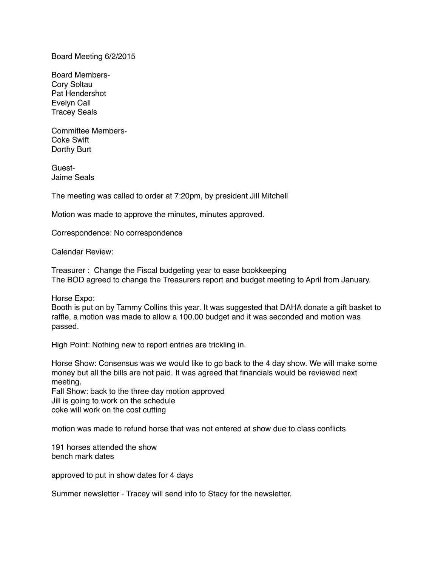Board Meeting 6/2/2015

Board Members-Cory Soltau Pat Hendershot Evelyn Call Tracey Seals

Committee Members-Coke Swift Dorthy Burt

Guest-Jaime Seals

The meeting was called to order at 7:20pm, by president Jill Mitchell

Motion was made to approve the minutes, minutes approved.

Correspondence: No correspondence

Calendar Review:

Treasurer : Change the Fiscal budgeting year to ease bookkeeping The BOD agreed to change the Treasurers report and budget meeting to April from January.

Horse Expo:

Booth is put on by Tammy Collins this year. It was suggested that DAHA donate a gift basket to raffle, a motion was made to allow a 100.00 budget and it was seconded and motion was passed.

High Point: Nothing new to report entries are trickling in.

Horse Show: Consensus was we would like to go back to the 4 day show. We will make some money but all the bills are not paid. It was agreed that financials would be reviewed next meeting.

Fall Show: back to the three day motion approved Jill is going to work on the schedule coke will work on the cost cutting

motion was made to refund horse that was not entered at show due to class conflicts

191 horses attended the show bench mark dates

approved to put in show dates for 4 days

Summer newsletter - Tracey will send info to Stacy for the newsletter.